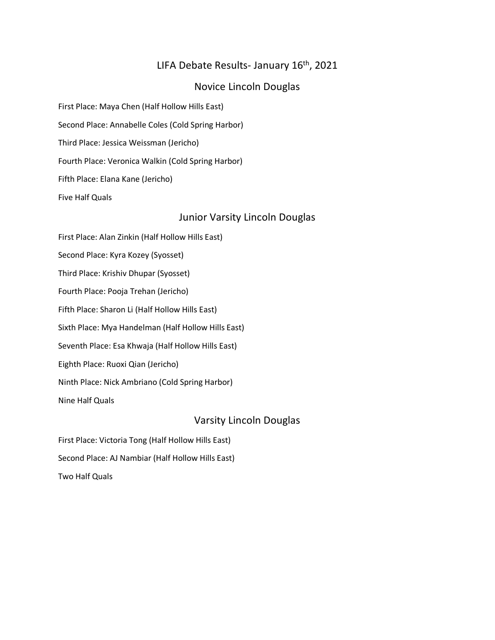# LIFA Debate Results- January 16<sup>th</sup>, 2021

### Novice Lincoln Douglas

First Place: Maya Chen (Half Hollow Hills East)

Second Place: Annabelle Coles (Cold Spring Harbor)

Third Place: Jessica Weissman (Jericho)

Fourth Place: Veronica Walkin (Cold Spring Harbor)

Fifth Place: Elana Kane (Jericho)

Five Half Quals

## Junior Varsity Lincoln Douglas

First Place: Alan Zinkin (Half Hollow Hills East) Second Place: Kyra Kozey (Syosset) Third Place: Krishiv Dhupar (Syosset) Fourth Place: Pooja Trehan (Jericho) Fifth Place: Sharon Li (Half Hollow Hills East) Sixth Place: Mya Handelman (Half Hollow Hills East) Seventh Place: Esa Khwaja (Half Hollow Hills East) Eighth Place: Ruoxi Qian (Jericho) Ninth Place: Nick Ambriano (Cold Spring Harbor) Nine Half Quals

# Varsity Lincoln Douglas

First Place: Victoria Tong (Half Hollow Hills East) Second Place: AJ Nambiar (Half Hollow Hills East) Two Half Quals